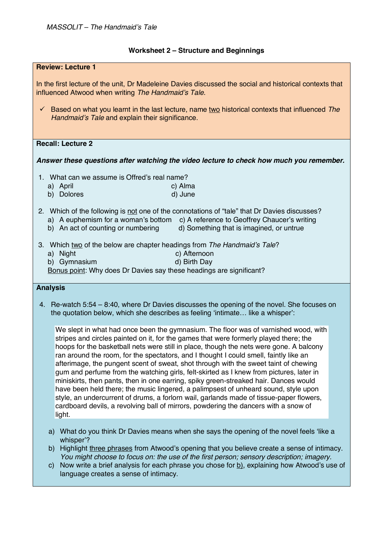## **Worksheet 2 – Structure and Beginnings**

| <b>Review: Lecture 1</b>                                                                                                                                                                                                                                                                                                                                                                                                                                                                                                                                                                                                                                                                                                                                                                                                      |
|-------------------------------------------------------------------------------------------------------------------------------------------------------------------------------------------------------------------------------------------------------------------------------------------------------------------------------------------------------------------------------------------------------------------------------------------------------------------------------------------------------------------------------------------------------------------------------------------------------------------------------------------------------------------------------------------------------------------------------------------------------------------------------------------------------------------------------|
| In the first lecture of the unit, Dr Madeleine Davies discussed the social and historical contexts that<br>influenced Atwood when writing The Handmaid's Tale.                                                                                                                                                                                                                                                                                                                                                                                                                                                                                                                                                                                                                                                                |
| Based on what you learnt in the last lecture, name two historical contexts that influenced The<br>$\checkmark$<br>Handmaid's Tale and explain their significance.                                                                                                                                                                                                                                                                                                                                                                                                                                                                                                                                                                                                                                                             |
| <b>Recall: Lecture 2</b>                                                                                                                                                                                                                                                                                                                                                                                                                                                                                                                                                                                                                                                                                                                                                                                                      |
| Answer these questions after watching the video lecture to check how much you remember.                                                                                                                                                                                                                                                                                                                                                                                                                                                                                                                                                                                                                                                                                                                                       |
| 1. What can we assume is Offred's real name?<br>a) April<br>c) Alma<br>d) June<br>b) Dolores                                                                                                                                                                                                                                                                                                                                                                                                                                                                                                                                                                                                                                                                                                                                  |
| 2. Which of the following is not one of the connotations of "tale" that Dr Davies discusses?<br>a) A euphemism for a woman's bottom<br>c) A reference to Geoffrey Chaucer's writing<br>b) An act of counting or numbering<br>d) Something that is imagined, or untrue                                                                                                                                                                                                                                                                                                                                                                                                                                                                                                                                                         |
| 3. Which two of the below are chapter headings from The Handmaid's Tale?<br>a) Night<br>c) Afternoon<br>b) Gymnasium<br>d) Birth Day<br>Bonus point: Why does Dr Davies say these headings are significant?                                                                                                                                                                                                                                                                                                                                                                                                                                                                                                                                                                                                                   |
| <b>Analysis</b>                                                                                                                                                                                                                                                                                                                                                                                                                                                                                                                                                                                                                                                                                                                                                                                                               |
| 4. Re-watch 5:54 – 8:40, where Dr Davies discusses the opening of the novel. She focuses on<br>the quotation below, which she describes as feeling 'intimate like a whisper':                                                                                                                                                                                                                                                                                                                                                                                                                                                                                                                                                                                                                                                 |
| We slept in what had once been the gymnasium. The floor was of varnished wood, with<br>stripes and circles painted on it, for the games that were formerly played there; the<br>hoops for the basketball nets were still in place, though the nets were gone. A balcony<br>ran around the room, for the spectators, and I thought I could smell, faintly like an<br>afterimage, the pungent scent of sweat, shot through with the sweet taint of chewing<br>gum and perfume from the watching girls, felt-skirted as I knew from pictures, later in<br>miniskirts, then pants, then in one earring, spiky green-streaked hair. Dances would<br>have been held there; the music lingered, a palimpsest of unheard sound, style upon<br>style, an undercurrent of drums, a forlorn wail, garlands made of tissue-paper flowers, |

- cardboard devils, a revolving ball of mirrors, powdering the dancers with a snow of light.
- a) What do you think Dr Davies means when she says the opening of the novel feels 'like a whisper'?
- b) Highlight three phrases from Atwood's opening that you believe create a sense of intimacy. *You might choose to focus on: the use of the first person; sensory description; imagery.*
- c) Now write a brief analysis for each phrase you chose for  $\underline{b}$ , explaining how Atwood's use of language creates a sense of intimacy.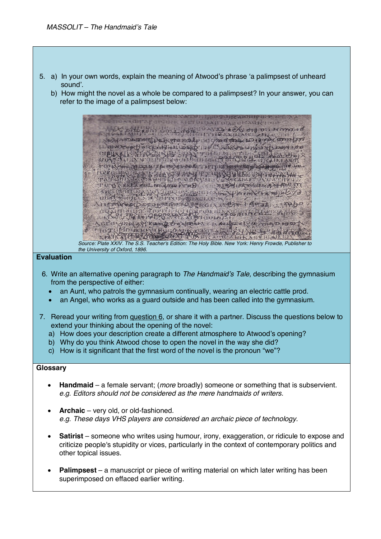- 5. a) In your own words, explain the meaning of Atwood's phrase 'a palimpsest of unheard sound'.
	- b) How might the novel as a whole be compared to a palimpsest? In your answer, you can refer to the image of a palimpsest below:



## **Evaluation**

- 6. Write an alternative opening paragraph to *The Handmaid's Tale,* describing the gymnasium from the perspective of either:
	- an Aunt, who patrols the gymnasium continually, wearing an electric cattle prod.
	- an Angel, who works as a guard outside and has been called into the gymnasium.
- 7. Reread your writing from *question 6*, or share it with a partner. Discuss the questions below to extend your thinking about the opening of the novel:
	- a) How does your description create a different atmosphere to Atwood's opening?
	- b) Why do you think Atwood chose to open the novel in the way she did?
	- c) How is it significant that the first word of the novel is the pronoun "we"?

## **Glossary**

- **Handmaid**  a female servant; (*more* broadly) someone or something that is subservient. *e.g. Editors should not be considered as the mere handmaids of writers.*
- **Archaic**  very old, or old-fashioned. *e.g. These days VHS players are considered an archaic piece of technology.*
- **Satirist**  someone who writes using humour, irony, exaggeration, or ridicule to expose and criticize people's stupidity or vices, particularly in the context of contemporary politics and other topical issues.
- **Palimpsest** a manuscript or piece of writing material on which later writing has been superimposed on effaced earlier writing.